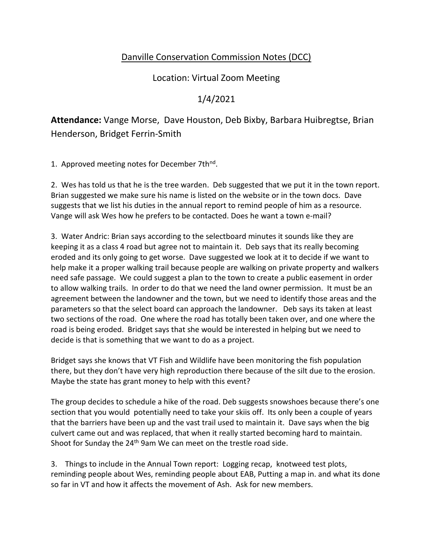## Danville Conservation Commission Notes (DCC)

Location: Virtual Zoom Meeting

## 1/4/2021

**Attendance:** Vange Morse, Dave Houston, Deb Bixby, Barbara Huibregtse, Brian Henderson, Bridget Ferrin-Smith

1. Approved meeting notes for December 7th<sup>nd</sup>.

2. Wes has told us that he is the tree warden. Deb suggested that we put it in the town report. Brian suggested we make sure his name is listed on the website or in the town docs. Dave suggests that we list his duties in the annual report to remind people of him as a resource. Vange will ask Wes how he prefers to be contacted. Does he want a town e-mail?

3. Water Andric: Brian says according to the selectboard minutes it sounds like they are keeping it as a class 4 road but agree not to maintain it. Deb says that its really becoming eroded and its only going to get worse. Dave suggested we look at it to decide if we want to help make it a proper walking trail because people are walking on private property and walkers need safe passage. We could suggest a plan to the town to create a public easement in order to allow walking trails. In order to do that we need the land owner permission. It must be an agreement between the landowner and the town, but we need to identify those areas and the parameters so that the select board can approach the landowner. Deb says its taken at least two sections of the road. One where the road has totally been taken over, and one where the road is being eroded. Bridget says that she would be interested in helping but we need to decide is that is something that we want to do as a project.

Bridget says she knows that VT Fish and Wildlife have been monitoring the fish population there, but they don't have very high reproduction there because of the silt due to the erosion. Maybe the state has grant money to help with this event?

The group decides to schedule a hike of the road. Deb suggests snowshoes because there's one section that you would potentially need to take your skiis off. Its only been a couple of years that the barriers have been up and the vast trail used to maintain it. Dave says when the big culvert came out and was replaced, that when it really started becoming hard to maintain. Shoot for Sunday the  $24<sup>th</sup>$  9am We can meet on the trestle road side.

3. Things to include in the Annual Town report: Logging recap, knotweed test plots, reminding people about Wes, reminding people about EAB, Putting a map in. and what its done so far in VT and how it affects the movement of Ash. Ask for new members.